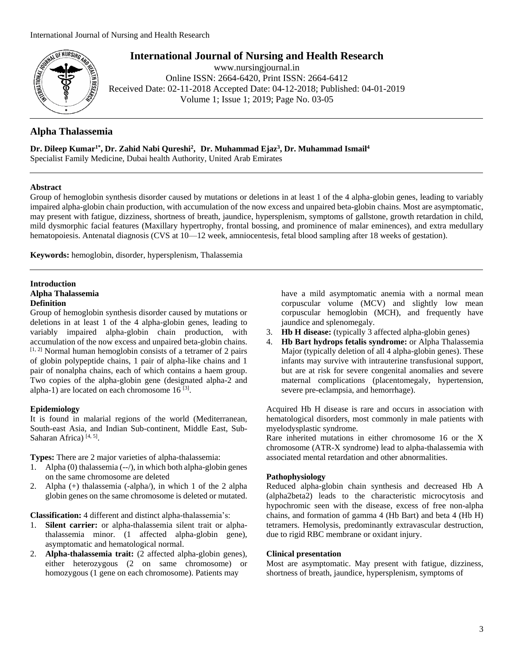

# **International Journal of Nursing and Health Research**

www.nursingjournal.in Online ISSN: 2664-6420, Print ISSN: 2664-6412 Received Date: 02-11-2018 Accepted Date: 04-12-2018; Published: 04-01-2019 Volume 1; Issue 1; 2019; Page No. 03-05

# **Alpha Thalassemia**

**Dr. Dileep Kumar1\* , Dr. Zahid Nabi Qureshi<sup>2</sup> , Dr. Muhammad Ejaz<sup>3</sup> , Dr. Muhammad Ismail<sup>4</sup>**

Specialist Family Medicine, Dubai health Authority, United Arab Emirates

## **Abstract**

Group of hemoglobin synthesis disorder caused by mutations or deletions in at least 1 of the 4 alpha-globin genes, leading to variably impaired alpha-globin chain production, with accumulation of the now excess and unpaired beta-globin chains. Most are asymptomatic, may present with fatigue, dizziness, shortness of breath, jaundice, hypersplenism, symptoms of gallstone, growth retardation in child, mild dysmorphic facial features (Maxillary hypertrophy, frontal bossing, and prominence of malar eminences), and extra medullary hematopoiesis. Antenatal diagnosis (CVS at 10—12 week, amniocentesis, fetal blood sampling after 18 weeks of gestation).

**Keywords:** hemoglobin, disorder, hypersplenism, Thalassemia

## **Introduction Alpha Thalassemia Definition**

Group of hemoglobin synthesis disorder caused by mutations or deletions in at least 1 of the 4 alpha-globin genes, leading to variably impaired alpha-globin chain production, with accumulation of the now excess and unpaired beta-globin chains. [1, 2] Normal human hemoglobin consists of a tetramer of 2 pairs of globin polypeptide chains, 1 pair of alpha-like chains and 1 pair of nonalpha chains, each of which contains a haem group. Two copies of the alpha-globin gene (designated alpha-2 and alpha-1) are located on each chromosome  $16$ <sup>[3]</sup>.

# **Epidemiology**

It is found in malarial regions of the world (Mediterranean, South-east Asia, and Indian Sub-continent, Middle East, Sub-Saharan Africa)<sup>[4, 5]</sup>.

**Types:** There are 2 major varieties of alpha-thalassemia:

- 1. Alpha (0) thalassemia (--/), in which both alpha-globin genes on the same chromosome are deleted
- 2. Alpha (+) thalassemia (-alpha/), in which 1 of the 2 alpha globin genes on the same chromosome is deleted or mutated.

**Classification:** 4 different and distinct alpha-thalassemia's:

- 1. **Silent carrier:** or alpha-thalassemia silent trait or alphathalassemia minor. (1 affected alpha-globin gene), asymptomatic and hematological normal.
- 2. **Alpha-thalassemia trait:** (2 affected alpha-globin genes), either heterozygous (2 on same chromosome) or homozygous (1 gene on each chromosome). Patients may

have a mild asymptomatic anemia with a normal mean corpuscular volume (MCV) and slightly low mean corpuscular hemoglobin (MCH), and frequently have jaundice and splenomegaly.

- 3. **Hb H disease:** (typically 3 affected alpha-globin genes)
- 4. **Hb Bart hydrops fetalis syndrome:** or Alpha Thalassemia Major (typically deletion of all 4 alpha-globin genes). These infants may survive with intrauterine transfusional support, but are at risk for severe congenital anomalies and severe maternal complications (placentomegaly, hypertension, severe pre-eclampsia, and hemorrhage).

Acquired Hb H disease is rare and occurs in association with hematological disorders, most commonly in male patients with myelodysplastic syndrome.

Rare inherited mutations in either chromosome 16 or the X chromosome (ATR-X syndrome) lead to alpha-thalassemia with associated mental retardation and other abnormalities.

# **Pathophysiology**

Reduced alpha-globin chain synthesis and decreased Hb A (alpha2beta2) leads to the characteristic microcytosis and hypochromic seen with the disease, excess of free non-alpha chains, and formation of gamma 4 (Hb Bart) and beta 4 (Hb H) tetramers. Hemolysis, predominantly extravascular destruction, due to rigid RBC membrane or oxidant injury.

## **Clinical presentation**

Most are asymptomatic. May present with fatigue, dizziness, shortness of breath, jaundice, hypersplenism, symptoms of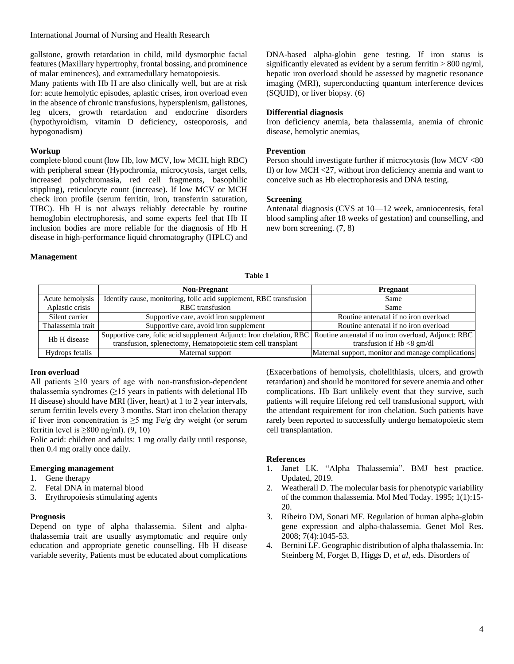## International Journal of Nursing and Health Research

gallstone, growth retardation in child, mild dysmorphic facial features (Maxillary hypertrophy, frontal bossing, and prominence of malar eminences), and extramedullary hematopoiesis.

Many patients with Hb H are also clinically well, but are at risk for: acute hemolytic episodes, aplastic crises, iron overload even in the absence of chronic transfusions, hypersplenism, gallstones, leg ulcers, growth retardation and endocrine disorders (hypothyroidism, vitamin D deficiency, osteoporosis, and hypogonadism)

## **Workup**

complete blood count (low Hb, low MCV, low MCH, high RBC) with peripheral smear (Hypochromia, microcytosis, target cells, increased polychromasia, red cell fragments, basophilic stippling), reticulocyte count (increase). If low MCV or MCH check iron profile (serum ferritin, iron, transferrin saturation, TIBC). Hb H is not always reliably detectable by routine hemoglobin electrophoresis, and some experts feel that Hb H inclusion bodies are more reliable for the diagnosis of Hb H disease in high-performance liquid chromatography (HPLC) and DNA-based alpha-globin gene testing. If iron status is significantly elevated as evident by a serum ferritin  $> 800$  ng/ml, hepatic iron overload should be assessed by magnetic resonance imaging (MRI), superconducting quantum interference devices (SQUID), or liver biopsy. (6)

## **Differential diagnosis**

Iron deficiency anemia, beta thalassemia, anemia of chronic disease, hemolytic anemias,

#### **Prevention**

Person should investigate further if microcytosis (low MCV <80 fl) or low MCH <27, without iron deficiency anemia and want to conceive such as Hb electrophoresis and DNA testing.

## **Screening**

Antenatal diagnosis (CVS at 10—12 week, amniocentesis, fetal blood sampling after 18 weeks of gestation) and counselling, and new born screening. (7, 8)

## **Management**

#### **Table 1**

|                   | <b>Non-Pregnant</b>                                                                                                       | <b>Pregnant</b>                                    |
|-------------------|---------------------------------------------------------------------------------------------------------------------------|----------------------------------------------------|
| Acute hemolysis   | Identify cause, monitoring, folic acid supplement, RBC transfusion                                                        | Same                                               |
| Aplastic crisis   | RBC transfusion                                                                                                           | Same                                               |
| Silent carrier    | Supportive care, avoid iron supplement                                                                                    | Routine antenatal if no iron overload              |
| Thalassemia trait | Supportive care, avoid iron supplement                                                                                    | Routine antenatal if no iron overload              |
| Hb H disease      | Supportive care, folic acid supplement Adjunct: Iron chelation, RBC   Routine antenatal if no iron overload, Adjunct: RBC |                                                    |
|                   | transfusion, splenectomy, Hematopoietic stem cell transplant                                                              | transfusion if $Hb < 8$ gm/dl                      |
| Hydrops fetalis   | Maternal support                                                                                                          | Maternal support, monitor and manage complications |

## **Iron overload**

All patients  $\geq 10$  years of age with non-transfusion-dependent thalassemia syndromes  $(≥15$  years in patients with deletional Hb H disease) should have MRI (liver, heart) at 1 to 2 year intervals, serum ferritin levels every 3 months. Start iron chelation therapy if liver iron concentration is  $\geq$ 5 mg Fe/g dry weight (or serum ferritin level is  $\geq 800$  ng/ml). (9, 10)

Folic acid: children and adults: 1 mg orally daily until response, then 0.4 mg orally once daily.

#### **Emerging management**

- 1. Gene therapy
- 2. Fetal DNA in maternal blood
- 3. Erythropoiesis stimulating agents

## **Prognosis**

Depend on type of alpha thalassemia. Silent and alphathalassemia trait are usually asymptomatic and require only education and appropriate genetic counselling. Hb H disease variable severity, Patients must be educated about complications

(Exacerbations of hemolysis, cholelithiasis, ulcers, and growth retardation) and should be monitored for severe anemia and other complications. Hb Bart unlikely event that they survive, such patients will require lifelong red cell transfusional support, with the attendant requirement for iron chelation. Such patients have rarely been reported to successfully undergo hematopoietic stem cell transplantation.

## **References**

- 1. Janet LK. "Alpha Thalassemia". BMJ best practice. Updated, 2019.
- 2. Weatherall D. The molecular basis for phenotypic variability of the common thalassemia. Mol Med Today. 1995; 1(1):15- 20.
- 3. Ribeiro DM, Sonati MF. Regulation of human alpha-globin gene expression and alpha-thalassemia. Genet Mol Res. 2008; 7(4):1045-53.
- 4. Bernini LF. Geographic distribution of alpha thalassemia. In: Steinberg M, Forget B, Higgs D, *et al*, eds. Disorders of